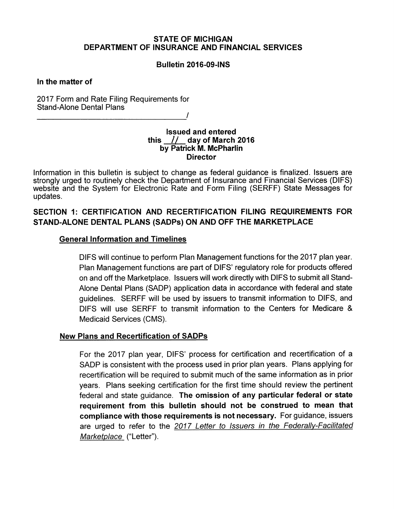#### *STATE OF MICHIGAN DEPARTMENT OF INSURANCE AND FINANCIAL SERVICES*

#### *Bulletin 2016-09-1NS*

#### *In the matter of*

2017 Form and Rate Filing Requirements for Stand-Alone Dental Plans */* 

> *Issued and entered this // day of March 2016 by Patrick M. McPharlin Director*

Information in this bulletin is subject to change as federal guidance is finalized. Issuers are strongly urged to routinely check the Department of Insurance and Financial Services (DIFS) website and the System for Electronic Rate and Form Filing (SERFF) State Messages for updates.

# *SECTION 1: CERTIFICATION AND RECERTIFICATION FILING REQUIREMENTS FOR STAND-ALONE DENTAL PLANS (SADPs) ON AND OFF THE MARKETPLACE*

#### *General Information and Timelines*

DIFS will continue to perform Plan Management functions for the 2017 plan year. Plan Management functions are part of DIFS' regulatory role for products offered on and off the Marketplace. Issuers will work directly with DIFS to submit all Stand-Alone Dental Plans (SADP) application data in accordance with federal and state guidelines. SERFF will be used by issuers to transmit information to DIFS, and DIFS will use SERFF to transmit information to the Centers for Medicare & Medicaid Services (CMS).

# *New Plans and Recertification of SADPs*

For the 2017 plan year, DIFS' process for certification and recertification of a SADP is consistent with the process used in prior plan years. Plans applying for recertification will be required to submit much of the same information as in prior years. Plans seeking certification for the first time should review the pertinent federal and state guidance. *The omission of any particular federal or state requirement from this bulletin should not be construed to mean that compliance with those requirements is not necessary.* For guidance, issuers are urged to refer to the **[2017 Letter to Issuers in the Federally-Facilitated](https://www.cms.gov/CCIIO/Resources/Regulations-and-Guidance/Downloads/Final-2017-Letter-to-Issuers-2-29-16.pdf)  [Marketplace](https://www.cms.gov/CCIIO/Resources/Regulations-and-Guidance/Downloads/Final-2017-Letter-to-Issuers-2-29-16.pdf)** ("Letter").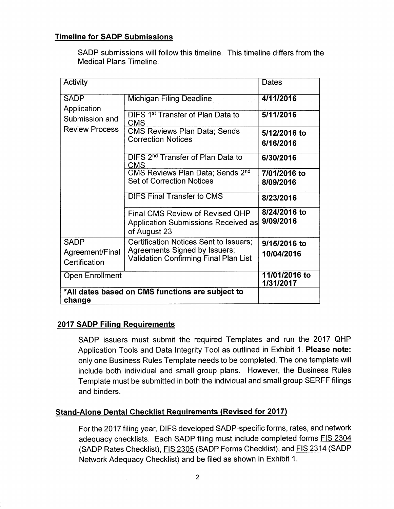# *Timeline for SADP Submissions*

SADP submissions will follow this timeline. This timeline differs from the Medical Plans Timeline.

| Activity                                                              |                                                                                                                         | Dates                      |
|-----------------------------------------------------------------------|-------------------------------------------------------------------------------------------------------------------------|----------------------------|
| <b>SADP</b><br>Application<br>Submission and<br><b>Review Process</b> | Michigan Filing Deadline                                                                                                | 4/11/2016                  |
|                                                                       | DIFS 1 <sup>st</sup> Transfer of Plan Data to<br><b>CMS</b>                                                             | 5/11/2016                  |
|                                                                       | <b>CMS Reviews Plan Data; Sends</b><br><b>Correction Notices</b>                                                        | 5/12/2016 to<br>6/16/2016  |
|                                                                       | DIFS 2 <sup>nd</sup> Transfer of Plan Data to<br>CMS                                                                    | 6/30/2016                  |
|                                                                       | CMS Reviews Plan Data; Sends 2 <sup>nd</sup><br><b>Set of Correction Notices</b>                                        | 7/01/2016 to<br>8/09/2016  |
|                                                                       | <b>DIFS Final Transfer to CMS</b>                                                                                       | 8/23/2016                  |
|                                                                       | <b>Final CMS Review of Revised QHP</b><br>Application Submissions Received as<br>of August 23                           | 8/24/2016 to<br>9/09/2016  |
| <b>SADP</b><br>Agreement/Final<br>Certification                       | Certification Notices Sent to Issuers;<br>Agreements Signed by Issuers;<br><b>Validation Confirming Final Plan List</b> | 9/15/2016 to<br>10/04/2016 |
| <b>Open Enrollment</b>                                                |                                                                                                                         | 11/01/2016 to<br>1/31/2017 |
| *All dates based on CMS functions are subject to<br>change            |                                                                                                                         |                            |

# *2017 SADP Filing Requirements*

SADP issuers must submit the required Templates and run the 2017 QHP Application Tools and Data Integrity Tool as outlined in Exhibit 1. *Please note:*  only one Business Rules Template needs to be completed. The one template will include both individual and small group plans. However, the Business Rules Template must be submitted in both the individual and small group SERFF filings and binders.

# *Stand-Alone Dental Checklist Requirements (Revised for 2017)*

For the 2017 filing year, DIFS developed SADP-specific forms, rates, and network adequacy checklists. Each SADP filing must include completed forms FIS 2304 (SADP Rates Checklist), FIS 2305 (SADP Forms Checklist), and FIS 2314 (SADP Network Adequacy Checklist) and be filed as shown in Exhibit 1.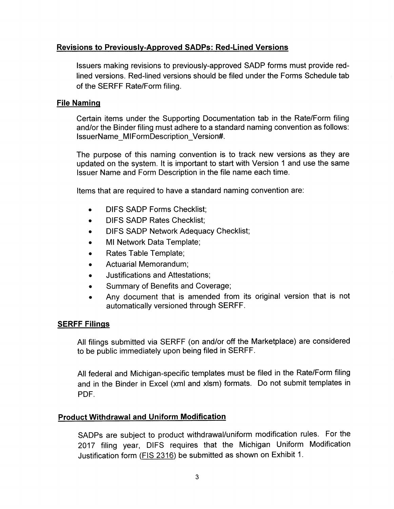# *Revisions to Previously-Approved SADPs: Red-Lined Versions*

Issuers making revisions to previously-approved SADP forms must provide redlined versions. Red-lined versions should be filed under the Forms Schedule tab of the SERFF Rate/Form filing.

#### *File Naming*

Certain items under the Supporting Documentation tab in the Rate/Form filing and/or the Binder filing must adhere to a standard naming convention as follows: lssuerName\_MIFormDescription\_Version#.

The purpose of this naming convention is to track new versions as they are updated on the system. It is important to start with Version 1 and use the same Issuer Name and Form Description in the file name each time.

Items that are required to have a standard naming convention are:

- DIFS SADP Forms Checklist;  $\bullet$
- DIFS SADP Rates Checklist;  $\bullet$
- DIFS SADP Network Adequacy Checklist;  $\bullet$
- Ml Network Data Template;  $\bullet$
- Rates Table Template;  $\bullet$
- Actuarial Memorandum;  $\bullet$
- Justifications and Attestations;  $\bullet$
- Summary of Benefits and Coverage;  $\bullet$
- Any document that is amended from its original version that is not  $\bullet$ automatically versioned through SERFF.

# *SERFF Filings*

All filings submitted via SERFF (on and/or off the Marketplace) are considered to be public immediately upon being filed in SERFF.

All federal and Michigan-specific templates must be filed in the Rate/Form filing and in the Binder in Excel (xml and xlsm) formats. Do not submit templates in PDF.

# *Product Withdrawal and Uniform Modification*

SADPs are subject to product withdrawal/uniform modification rules. For the 2017 filing year, DIFS requires that the Michigan Uniform Modification Justification form [\(FIS 2316\)](http://www.michigan.gov/documents/difs/FIS_2316-2017_MI_Uniform_Modification_516593_7.docx) be submitted as shown on Exhibit 1.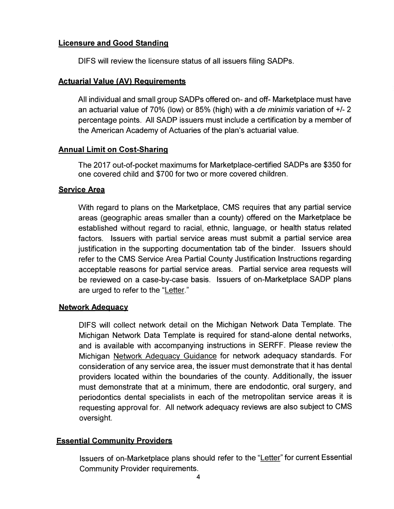# *Licensure and Good Standing*

DIFS will review the licensure status of all issuers filing SADPs.

# *Actuarial Value (AV) Requirements*

All individual and small group SADPs offered on- and off- Marketplace must have an actuarial value of 70% (low) or 85% (high) with a **de minimis** variation of +/- 2 percentage points. All SADP issuers must include a certification by a member of the American Academy of Actuaries of the plan's actuarial value.

# *Annual Limit on Cost-Sharing*

The 2017 out-of-pocket maximums for Marketplace-certified SADPs are \$350 for one covered child and \$700 for two or more covered children.

# *Service Area*

With regard to plans on the Marketplace, CMS requires that any partial service areas (geographic areas smaller than a county) offered on the Marketplace be established without regard to racial, ethnic, language, or health status related factors. Issuers with partial service areas must submit a partial service area justification in the supporting documentation tab of the binder. Issuers should refer to the CMS Service Area Partial County Justification Instructions regarding acceptable reasons for partial service areas. Partial service area requests will be reviewed on a case-by-case basis. Issuers of on-Marketplace SADP plans are urged to refer to the ["Letter."](https://www.cms.gov/CCIIO/Resources/Regulations-and-Guidance/Downloads/Final-2017-Letter-to-Issuers-2-29-16.pdf) 

# *Network Adequacy*

DIFS will collect network detail on the Michigan Network Data Template. The Michigan Network Data Template is required for stand-alone dental networks, and is available with accompanying instructions in SERFF. Please review the Michigan [Network Adequacy Guidance](http://www.michigan.gov/documents/difs/Network_Adequacy_Guidelines_415418_7.pdf) for network adequacy standards. For consideration of any service area, the issuer must demonstrate that it has dental providers located within the boundaries of the county. Additionally, the issuer must demonstrate that at a minimum, there are endodontic, oral surgery, and periodontics dental specialists in each of the metropolitan service areas it is requesting approval for. All network adequacy reviews are also subject to CMS oversight.

# *Essential Community Providers*

Issuers of on-Marketplace plans should refer to the ["Letter"](https://www.cms.gov/CCIIO/Resources/Regulations-and-Guidance/Downloads/Final-2017-Letter-to-Issuers-2-29-16.pdf) for current Essential Community Provider requirements.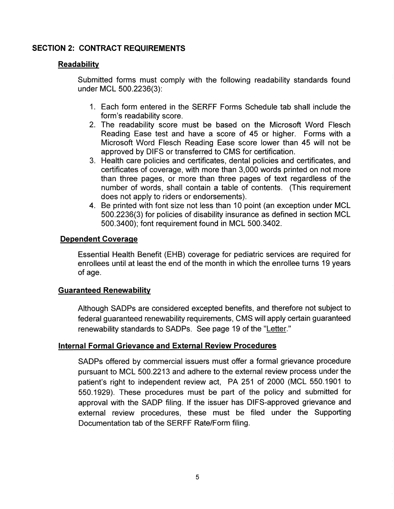# *SECTION 2: CONTRACT REQUIREMENTS*

# *Readability*

Submitted forms must comply with the following readability standards found under MCL 500.2236(3):

- 1. Each form entered in the SERFF Forms Schedule tab shall include the form's readability score.
- 2. The readability score must be based on the Microsoft Word Flesch Reading Ease test and have a score of 45 or higher. Forms with a Microsoft Word Flesch Reading Ease score lower than 45 will not be approved by DIFS or transferred to CMS for certification.
- 3. Health care policies and certificates, dental policies and certificates, and certificates of coverage, with more than 3,000 words printed on not more than three pages, or more than three pages of text regardless of the number of words, shall contain a table of contents. (This requirement does not apply to riders or endorsements).
- 4. Be printed with font size not less than 10 point (an exception under MCL 500.2236(3) for policies of disability insurance as defined in section MCL 500.3400); font requirement found in MCL 500.3402.

# *Dependent Coverage*

Essential Health Benefit (EHB) coverage for pediatric services are required for enrollees until at least the end of the month in which the enrollee turns 19 years of age.

# *Guaranteed Renewability*

Although SADPs are considered excepted benefits, and therefore not subject to federal guaranteed renewability requirements, CMS will apply certain guaranteed renewability standards to SADPs. See page 19 of the ["Letter."](https://www.cms.gov/CCIIO/Resources/Regulations-and-Guidance/Downloads/Final-2017-Letter-to-Issuers-2-29-16.pdf) 

# *Internal Formal Grievance and External Review Procedures*

SADPs offered by commercial issuers must offer a formal grievance procedure pursuant to MCL 500.2213 and adhere to the external review process under the patient's right to independent review act, PA 251 of 2000 (MCL 550.1901 to 550.1929). These procedures must be part of the policy and submitted for approval with the SADP filing. If the issuer has DIFS-approved grievance and external review procedures, these must be filed under the Supporting Documentation tab of the SERFF Rate/Form filing.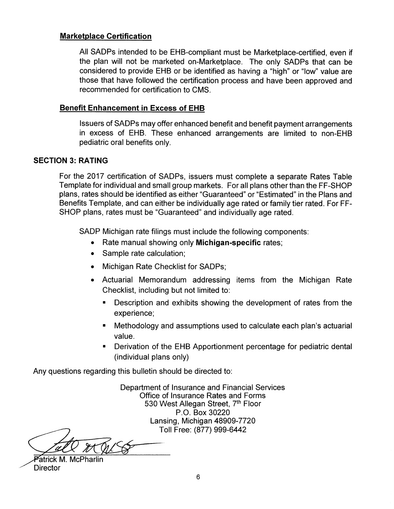# *Marketplace Certification*

All SADPs intended to be EHB-compliant must be Marketplace-certified, even if the plan will not be marketed on-Marketplace. The only SADPs that can be considered to provide EHB or be identified as having a "high" or "low" value are those that have followed the certification process and have been approved and recommended for certification to CMS.

# *Benefit Enhancement in Excess of EHB*

Issuers of SADPs may offer enhanced benefit and benefit payment arrangements in excess of EHB. These enhanced arrangements are limited to non-EHB pediatric oral benefits only.

# *SECTION 3: RATING*

For the 2017 certification of SADPs, issuers must complete a separate Rates Table Template for individual and small group markets. For all plans other than the FF-SHOP plans, rates should be identified as either "Guaranteed" or "Estimated" in the Plans and Benefits Template, and can either be individually age rated or family tier rated. For FF-SHOP plans, rates must be "Guaranteed" and individually age rated.

SADP Michigan rate filings must include the following components:

- Rate manual showing only *Michigan-specific* rates;
- Sample rate calculation;
- Michigan Rate Checklist for SADPs;
- Actuarial Memorandum addressing items from the Michigan Rate Checklist, including but not limited to:
	- Description and exhibits showing the development of rates from the experience;
	- Methodology and assumptions used to calculate each plan's actuarial value.
	- Derivation of the EHB Apportionment percentage for pediatric dental (individual plans only)

Any questions regarding this bulletin should be directed to:

Department of Insurance and Financial Services Office of Insurance Rates and Forms 530 West Allegan Street, 7<sup>th</sup> Floor P.O. Box 30220 Lansing, Michigan 48909-7720 Toll Free: (877) 999-6442

Patrick M. McPharlin **Director**